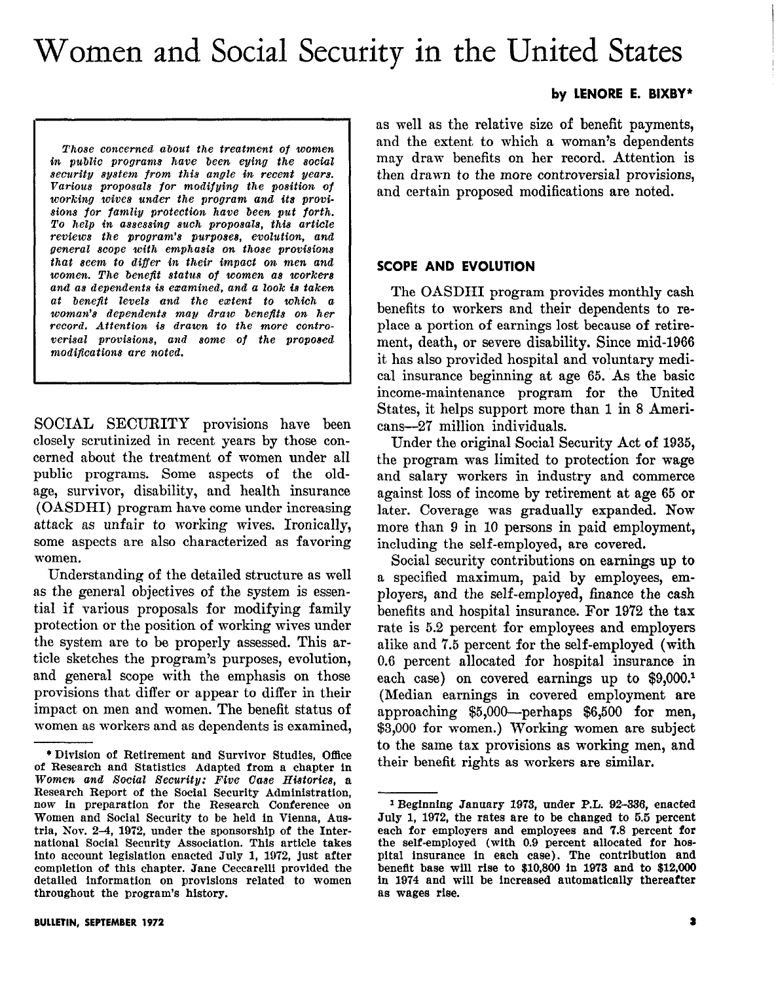# Women and Social Security in the United States

by LENORE E. BIXBY\*

Those concerned ahout the treatment of women in public programs have been eying the social security system from this angle in recent years. Various proposals for modifying the position of working wives under the program and its provisions for famliy protection have been put forth. To help in assessing such proposals, this article reviews the program's purposes, evolution, and general scope with emphasis on those provisions that seem to differ in their impact on men and women. The benefit status of women as workers and as dependents is examined, and a look is taken at benefit level8 and the extent to which a woman's dependents may draw benefits on her record. Attention is drawn to the more controverisal provisions, and 8ome of the proposed modifications are noted.

SOCIAL SECURITY provisions have been closely scrutinized in recent years by those concerned about the treatment of women under all public programs. Some aspects of the oldage, survivor, disability, and health insurance (OASDHI) program have come under increasing attack as unfair to working wives. Ironically, some aspects are also characterized as favoring women.

Understanding of the detailed structure as well as the general objectives of the system is essential if various proposals for modifying family protection or the position of working wives under the system are to be properly assessed. This article sketches the program's purposes, evolution, and general scope with the emphasis on those provisions that differ or appear to differ in their impact on men and women. The benefit status of women as workers and as dependents is examined, as well as the relative size of benefit payments, and the extent to which a woman's dependents may draw benefits on her record. Attention is then drawn to the more controversial provisions, and certain proposed modifications are noted.

## SCOPE AND EVOLUTION

The OASDHI program provides monthly cash benefits to workers and their dependents to replace a portion of earnings lost because of retirement, death, or severe disability. Since mid-1966 it has also provided hospital and voluntary medical insurance beginning at age 65. 'As the basic income-maintenance program for the United States, it helps support more than 1 in 8 Americans-27 million individuals.

Under the original Social Security Act of 1935, the program was limited to protection for wage and salary workers in industry and commerce against loss of income by retirement at age 65 or later. Coverage was gradually expanded. Now more than 9 in 10 persons in paid employment, including the self -employed, are covered.

Social security contributions on earnings up to a specified maximum, paid by employees, employers, and the self-employed, finance the cash benefits and hospital insurance. For 1972 the tax rate is 5.2 percent for employees and employers alike and 7.5 percent for the self-employed (with 0.6 percent allocated for hospital insurance in each case) on covered earnings up to \$9,000.<sup>1</sup> (Median earnings in covered employment are approaching \$5,000-perhaps \$6,500 for men, \$3,000 for women.) Working women are subject to the same tax provisions as working men, and their benefit rights as workers are similar.

<sup>\*</sup> Division of Retirement and Survivor Studies, Office of Research and Statistics Adapted from a chapter in Women and Social Security: Five Case Histories, a Research Report of the Social Security Administration, now in preparation for the Research Conference on Women and Social Security to be held in Vienna, Austria, Nov. 2-4, 1972, under the sponsorship of the International Social Security Association. This article takes into account legislation enacted July 1, 1972, just after completion of this chapter. Jane Ceccarelli provided the detailed information on provisions related to women throughout the program's history.

<sup>1</sup> Beginning January 1973, under P.L. 92-336, enacted July 1, 1972, the rates are to be changed to 5.5 percent each for employers and employees and 7.8 percent for the self-employed (with 0.9 percent allocated for hospital insurance in each case). The contribution and beneflt base will rise to \$10,800 in 1973 and to \$12,QOO in 1974 and will be increased automatically thereafter as wages rise.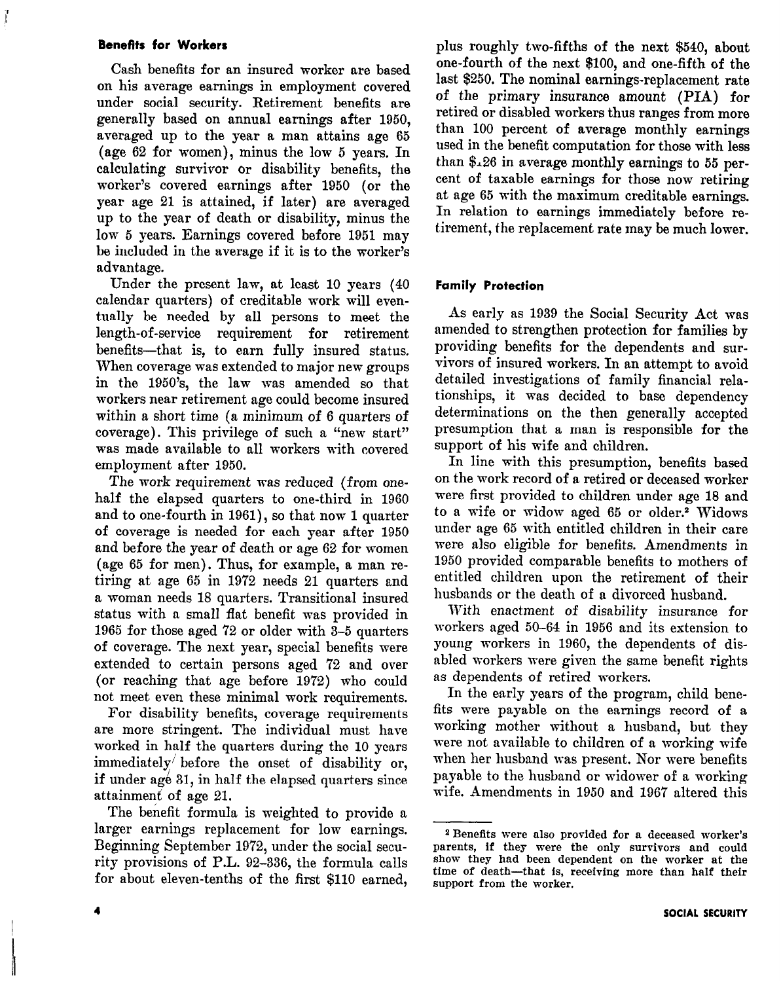#### Benefits for Workers

Cash benefits for an insured worker are based on his average earnings in employment covered under social security. Retirement benefits are generally based on annual earnings after 1950, averaged up to the year a man attains age 65 (age 62 for women), minus the low 5 years. In calculating survivor or disability benefits, the worker's covered earnings after 1950 (or the year age 21 is attained, if later) are averaged up to the year of death or disability, minus the low 5 years. Earnings covered before 1951 may be included in the average if it is to the worker's advantage.

Under the present law, at least 10 years (40 calendar quarters) of creditable work will eventually be needed by all persons to meet the length-of-service requirement for retirement benefits-that is, to earn fully insured status. When coverage was extended to major new groups in the 1950's, the law was amended so that workers near retirement age could become insured within a short time (a minimum of 6 quarters of coverage). This privilege of such a "new start" was made available to all workers with covered employment after 1950.

The work requirement was reduced (from onehalf the elapsed quarters to one-third in 1960 and to one-fourth in 1961), so that now 1 quarter of coverage is needed for each year after 1950 and before the year of death or age 62 for women (age 65 for men). Thus, for example, a man retiring at age 65 in 1972 needs 21 quarters and a woman needs 18 quarters. Transitional insured status with a small flat benefit was provided in 1965 for those aged 72 or older with 3-5 quarters of coverage. The next year, special benefits were extended to certain persons aged '72 and over (or reaching that age before 1972) who could not meet even these minimal work requirements.

For disability benefits, coverage requirements are more stringent. The individual must have worked in half the quarters during the 10 years immediately before the onset of disability or, if under age 31, in half the elapsed quarters since attainment of age 21.

The benefit formula is weighted to provide a larger earnings replacement for low earnings. Beginning September 1972, under the social security provisions of P.L. 92-336, the formula calls for about eleven-tenths of the first \$110 earned,

plus roughly two-fifths of the next \$540, about one-fourth of the next \$100, and one-fifth of the last \$250. The nominal earnings-replacement rate of the primary insurance amount (PIA) for retired or disabled workers thus ranges from more than 100 percent of average monthly earnings used in the benefit computation for those with less than &26 in average monthly earnings to 55 percent of taxable earnings for those now retiring at age 65 with the maximum creditable earnings. In relation to earnings immediately before retirement, the replacement rate may be much lower.

#### Family Protection

As early as 1939 the Social Security Act was amended to strengthen protection for families by providing benefits for the dependents and survivors of insured workers. In an attempt to avoid detailed investigations of family financial relationships, it was decided to base dependency determinations on the then generally accepted presumption that a man is responsible for the support of his wife and children.

In line with this presumption, benefits based on the work record of a retired or deceased worker were first provided to children under age 18 and to a wife or widow aged 65 or older.<sup>2</sup> Widows under age 65 with entitled children in their care were also eligible for benefits. Amendments in 1950 provided comparable benefits to mothers of entitled children upon the retirement of their husbands or the death of a divorced husband.

With enactment of disability insurance for workers aged 50-64 in 1956 and its extension to young workers in 1960, the dependents of disabled workers were given the same benefit rights as dependents of retired workers.

In the early years of the program, child benefits were payable on the earnings record of a working mother without a husband, but they were not available to children of a working wife when her husband was present. Nor were benefits payable to the husband or widower of a working wife. Amendments in 1950 and 1967 altered this

<sup>2</sup> Benefits were also provided for a deceased worker's parents, if they were the only survivors and could show they had been dependent on the worker at the time of death-that is, receiving more than half their support from the worker.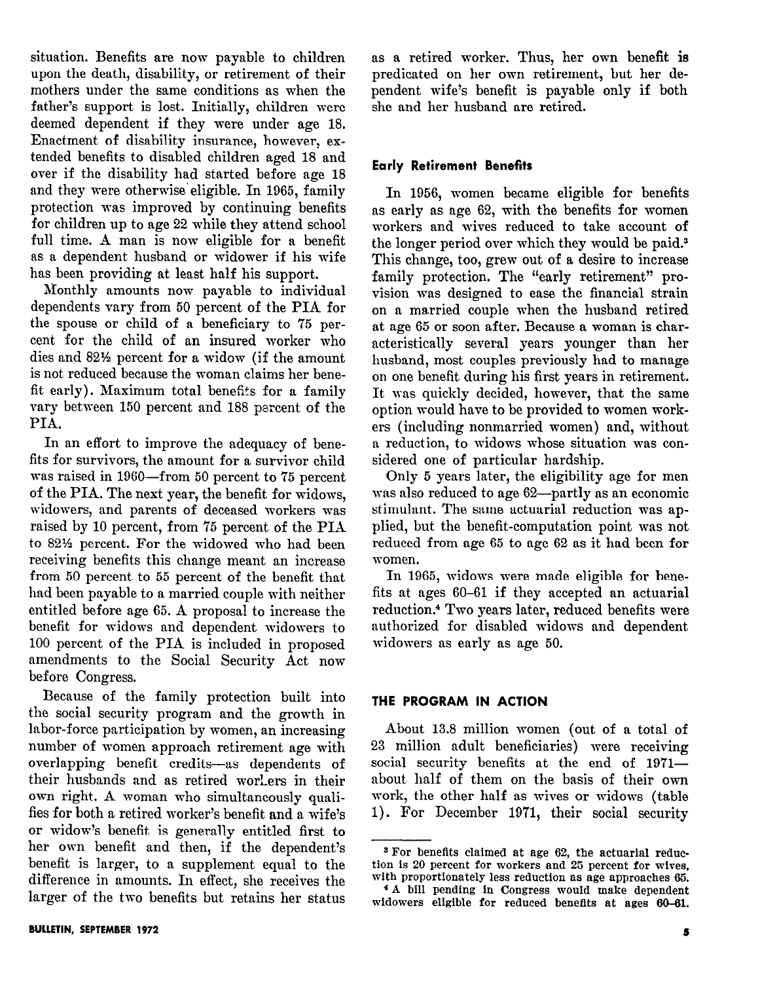situation. Benefits are now payable to children upon the death, disability, or retirement of their mothers under the same conditions as when the father's support is lost. Initially, children were deemed dependent if they were under age 18. Enactment of disability insurance, however, extended benefits to disabled children aged 18 and over if the disability had started before age 18 and they were otherwise' eligible. In 1965, family protection was improved by continuing benefits for children up to age 22 while they attend school full time. A man is now eligible for a benefit as a dependent husband or widower if his wife has been providing at least half his support.

Monthly amounts now payable to individual dependents vary from 50 percent of the PIA for the spouse or child of a beneficiary to 75 percent for the child of an insured worker who dies and 82% percent for a widow (if the amount is not reduced because the woman claims her benefit early). Maximum total benefits for a family vary between 150 percent and 188 percent of the PIA.

In an effort to improve the adequacy of benefits for survivors, the amount for a survivor child was raised in 1960-from 50 percent to 75 percent of the PIA. The next year, the benefit for widows, widowers, and parents of deceased workers was raised by 10 percent, from 75 percent of the PIA to 82% percent. For the widowed who had been receiving benefits this change meant an increase from 50 percent to 55 percent of the benefit that had been payable to a married couple with neither entitled before age 65. A proposal to increase the benefit for widows and dependent widowers to 100 percent of the PIA is included in proposed amendments to the Social Security Act now before Congress.

Because of the family protection built into the social security program and the growth in labor-force participation by women, an increasing number of women approach retirement age with overlapping benefit credits-as dependents of their husbands and as retired worLers in their own right. A woman who simultaneously qualifies for both a retired worker's benefit and a wife's or widow's benefit is generally entitled first to her own benefit and then, if the dependent's benefit is larger, to a supplement equal to the difference in amounts. In effect, she receives the larger of the two benefits but retains her status

as a retired worker. Thus, her own benefit is predicated on her own retirement, but her dependent wife's benefit is payable only if both she and her husband are retired.

# Early Retirement Benefits

In 1956, women became eligible for benefits as early as age 62, with the benefits for women workers and wives reduced to take account of the longer period over which they would be paid.3 This change, too, grew out of a desire to increase family protection. The "early retirement" provision was designed to ease the financial strain on a married couple when the husband retired at age 65 or soon after. Because a woman is characteristically several years younger than her husband, most couples previously had to manage on one benefit during his first years in retirement. It was quickly decided, however, that the same option would have to be provided to women workers (including nonmarried women) and, without a reduction, to widows whose situation was considered one of particular hardship.

Only 5 years later, the eligibility age for men was also reduced to age 62—partly as an economic stimulant. The same actuarial reduction was applied, but the benefit-computation point was not reduced from age 65 to age 62 as it had been for women.

In 1965, widows were made eligible for benefits at ages 60-61 if they accepted an actuarial reduction.4 Two years later, reduced benefits were authorized for disabled widows and dependent widowers as early as age 50.

## THE PROGRAM IN ACTION

About 13.8 million women (out of a total of 23 million adult beneficiaries) were receiving social security benefits at the end of  $1971$ about half of them on the basis of their own work, the other half as wives or widows (table 1). For December 1971, their social security

<sup>3</sup> For benefits claimed at age 62, the actuarial reduction is 20 percent for workers and 25 percent for wives, with proportionately less reduction as age approaches 65.

<sup>4</sup>A bill pending in Congress would make dependent widowers eligible for reduced benefits at ages 60-61.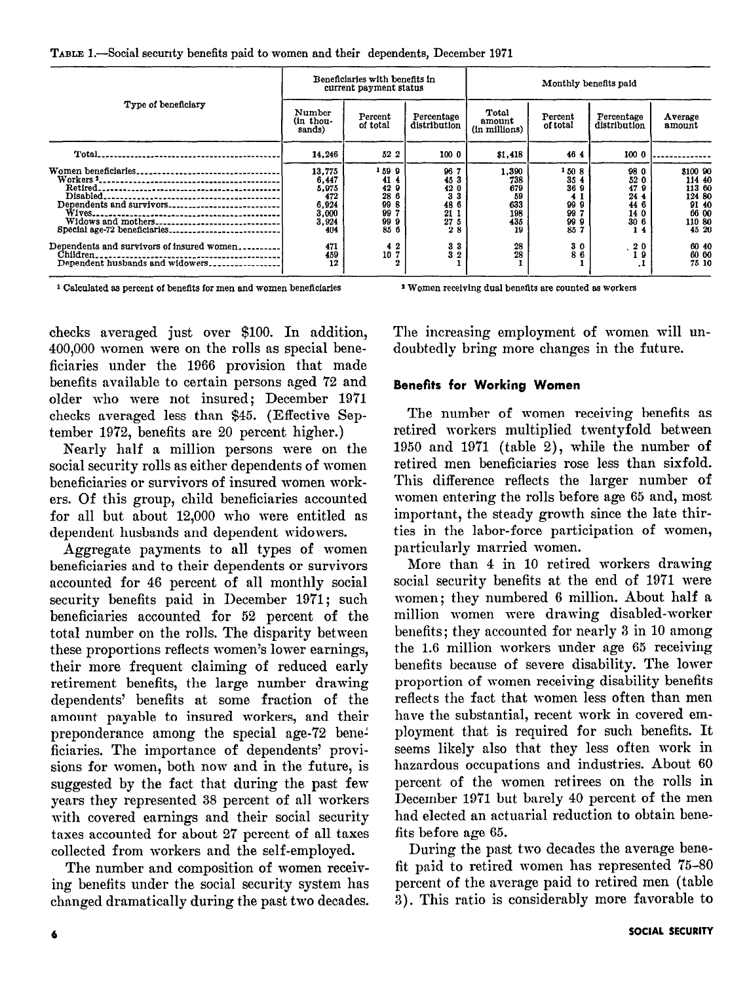|  | TABLE 1.-Social security benefits paid to women and their dependents, December 1971 |  |  |  |  |  |
|--|-------------------------------------------------------------------------------------|--|--|--|--|--|
|--|-------------------------------------------------------------------------------------|--|--|--|--|--|

| Type of beneficiary<br>Women beneficiaries                                                                                                     |                                                                                       | Beneficiaries with benefits in<br>current payment status                     |                                                                                              | Monthly benefits paid                                            |                                                              |                                                                                                            |                                                                                                        |  |
|------------------------------------------------------------------------------------------------------------------------------------------------|---------------------------------------------------------------------------------------|------------------------------------------------------------------------------|----------------------------------------------------------------------------------------------|------------------------------------------------------------------|--------------------------------------------------------------|------------------------------------------------------------------------------------------------------------|--------------------------------------------------------------------------------------------------------|--|
|                                                                                                                                                | Number<br>(in thou-<br>sands)                                                         | Percent<br>of total                                                          | Percentage<br>distribution                                                                   | Total<br>amount<br>(in millions)                                 | Percent<br>of total                                          | Percentage<br>distribution                                                                                 | Average<br>amount                                                                                      |  |
|                                                                                                                                                | 14,246                                                                                | 52 2                                                                         | 100 0                                                                                        | \$1,418                                                          | 4644                                                         | 100 0                                                                                                      |                                                                                                        |  |
| Widows and mothers<br>Special age-72 beneficiaries<br>Dependents and survivors of insured women<br>Children<br>Dependent husbands and widowers | 13,775<br>6,447<br>5,975<br>472<br>6,924<br>3,000<br>3.924<br>404<br>471<br>459<br>12 | 1599<br>41 4<br>429<br>28 6<br>99 8<br>997<br>999<br>85 6<br>42<br>10 7<br>2 | 96 7<br>45 3<br>42 0<br>3 <sub>3</sub><br>48 6<br>21 1<br>27 5<br>28<br>33<br>3 <sub>2</sub> | 1.390<br>738<br>679<br>59<br>633<br>198<br>435<br>19<br>28<br>28 | 1508<br>35 4<br>36 9<br>999<br>99<br>999<br>85 7<br>30<br>86 | 98 0<br>52 0<br>479<br>24 4<br>44 6<br>14 0<br>306<br>14<br>$\begin{smallmatrix}2&0\\1&9\end{smallmatrix}$ | \$100 90<br>114 40<br>113 60<br>124 80<br>91 40<br>66 00<br>110 80<br>45 20<br>60 40<br>60 00<br>75 10 |  |

<sup>1</sup> Calculated as percent of benefits for men and women beneficiaries

<sup>2</sup> Women receiving dual benefits are counted as workers

checks averaged just over \$100. In addition, 400,000 women were on the rolls as special beneficiaries under the 1966 provision that made benefits available to certain persons aged 72 and older who were not insured; December 1971 checks averaged less than \$45. (Effective September 1972, benefits are 20 percent higher.)

Nearly half a million persons were on the social security rolls as either dependents of women beneficiaries or survivors of insured women workers. Of this group, child beneficiaries accounted for all but about 12,000 who were entitled as dependent husbands and dependent widowers.

Aggregate payments to all types of women beneficiaries and to their dependents or survivors accounted for 46 percent of all monthly social security benefits paid in December 1971; such beneficiaries accounted for 52 percent of the total number on the rolls. The disparity between these proportions reflects women's lower earnings, their more frequent claiming of reduced early retirement benefits, the large number drawing dependents' benefits at some fraction of the amount payable to insured workers, and their preponderance among the special age-72 beneficiaries. The importance of dependents' provisions for women, both now and in the future, is suggested by the fact that during the past few years they represented 38 percent of all workers with covered earnings and their social security taxes accounted for about 27 percent of all taxes collected from workers and the self-employed.

The number and composition of women receiving benefits under the social security system has changed dramatically during the past two decades. The increasing employment of women will undoubtedly bring more changes in the future.

# **Benefits for Working Women**

The number of women receiving benefits as retired workers multiplied twentyfold between 1950 and 1971 (table 2), while the number of retired men beneficiaries rose less than sixfold. This difference reflects the larger number of women entering the rolls before age 65 and, most important, the steady growth since the late thirties in the labor-force participation of women, particularly married women.

More than 4 in 10 retired workers drawing social security benefits at the end of 1971 were women; they numbered 6 million. About half a million women were drawing disabled-worker benefits; they accounted for nearly 3 in 10 among the 1.6 million workers under age 65 receiving benefits because of severe disability. The lower proportion of women receiving disability benefits reflects the fact that women less often than men have the substantial, recent work in covered employment that is required for such benefits. It seems likely also that they less often work in hazardous occupations and industries. About 60 percent of the women retirees on the rolls in December 1971 but barely 40 percent of the men had elected an actuarial reduction to obtain benefits before age 65.

During the past two decades the average benefit paid to retired women has represented 75-80 percent of the average paid to retired men (table 3). This ratio is considerably more favorable to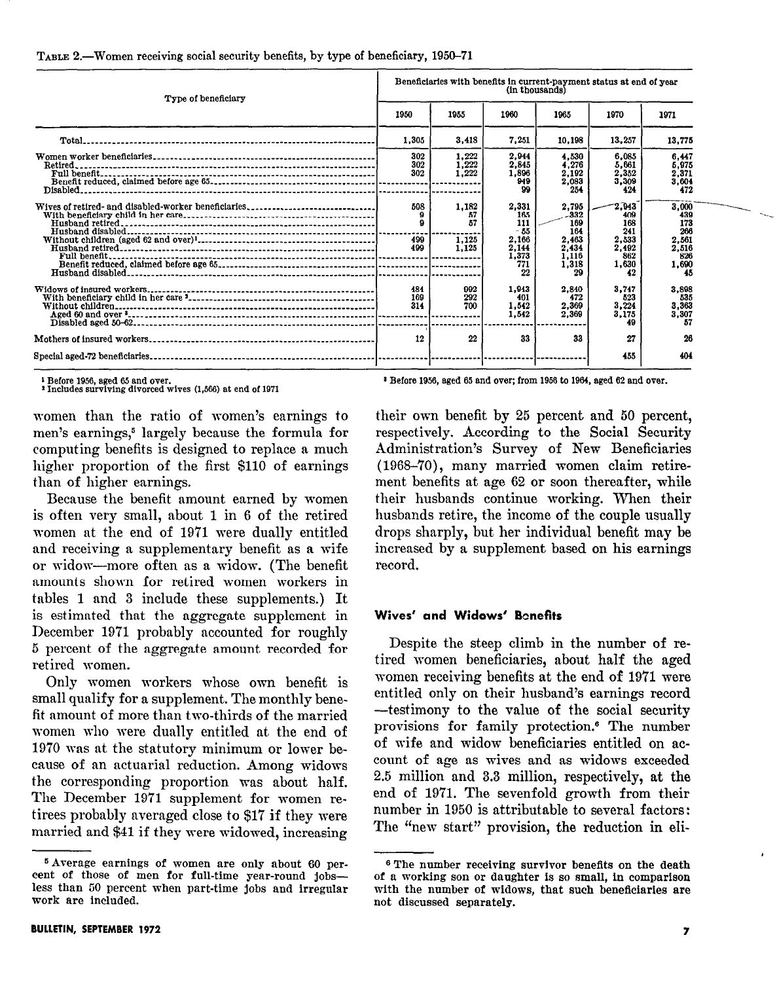| Type of beneficiary                                 |                   | Beneficiaries with benefits in current-payment status at end of year<br>(in thousands) |                                                               |                                                                 |                                                              |                                                              |  |  |  |
|-----------------------------------------------------|-------------------|----------------------------------------------------------------------------------------|---------------------------------------------------------------|-----------------------------------------------------------------|--------------------------------------------------------------|--------------------------------------------------------------|--|--|--|
|                                                     | 1950              | 1955                                                                                   | 1960                                                          | 1965                                                            | 1970                                                         | 1971                                                         |  |  |  |
|                                                     | 1.305             | 3.418                                                                                  | 7,251                                                         | 10.198                                                          | 13.257                                                       | 13,775                                                       |  |  |  |
| Retired.                                            | 302<br>302<br>302 | 1.222<br>1.222<br>1,222                                                                | 2.944<br>2.845<br>1,896<br>949<br>99                          | 4.530<br>4.276<br>2,192<br>2,083<br>254                         | 6.085<br>5,661<br>2,352<br>3.309<br>424                      | 6.447<br>5.975<br>2,371<br>3.604<br>472                      |  |  |  |
| Wives of retired- and disabled-worker beneficiaries | 508<br>499<br>499 | 1.182<br>57<br>57<br>1.125<br>1,125                                                    | 2,331<br>165<br>111<br>- 55<br>2,166<br>2,144<br>1,373<br>771 | 2,795<br>-332<br>169<br>164<br>2,463<br>2.434<br>1,116<br>1,318 | 2.943<br>409<br>168<br>241<br>2,533<br>2.492<br>862<br>1.630 | 3.000<br>439<br>173<br>266<br>2,561<br>2,516<br>826<br>1,690 |  |  |  |
|                                                     | 484<br>169<br>314 | 992<br>292<br>700                                                                      | 1.943<br>401<br>1.542<br>1.542                                | 29<br>2,840<br>472<br>2.369<br>2.369                            | 3.747<br>523<br>3,224<br>3.175<br>49                         | 45<br>3,898<br>535<br>3,363<br>3,307<br>57                   |  |  |  |
|                                                     | 12                | 22                                                                                     | 33                                                            | 33                                                              | 27<br>455                                                    | 26<br>404                                                    |  |  |  |

#### TABLE 2.—Women receiving social security benefits, by type of beneficiary, 1950–71

<sup>1</sup> Before 1956, aged 65 and over.<br><sup>2</sup> Includes surviving divorced wives (1,566) at end of 1971

<sup>3</sup> Before 1956, aged 65 and over; from 1956 to 1964, aged 62 and over.

women than the ratio of women's earnings to men's earnings,<sup>5</sup> largely because the formula for computing benefits is designed to replace a much higher proportion of the first \$110 of earnings than of higher earnings.

Because the benefit amount earned by women is often very small, about 1 in 6 of the retired women at the end of 1971 were dually entitled and receiving a supplementary benefit as a wife or widow-more often as a widow. (The benefit amounts shown for retired women workers in tables 1 and 3 include these supplements.) It is estimated that the aggregate supplement in December 1971 probably accounted for roughly 5 percent of the aggregate amount recorded for retired women.

Only women workers whose own benefit is small qualify for a supplement. The monthly benefit amount of more than two-thirds of the married women who were dually entitled at the end of 1970 was at the statutory minimum or lower because of an actuarial reduction. Among widows the corresponding proportion was about half. The December 1971 supplement for women retirees probably averaged close to \$17 if they were married and \$41 if they were widowed, increasing their own benefit by 25 percent and 50 percent, respectively. According to the Social Security Administration's Survey of New Beneficiaries (1968-70), many married women claim retirement benefits at age 62 or soon thereafter, while their husbands continue working. When their husbands retire, the income of the couple usually drops sharply, but her individual benefit may be increased by a supplement based on his earnings record.

## Wives' and Widows' Bonefits

Despite the steep climb in the number of retired women beneficiaries, about half the aged women receiving benefits at the end of 1971 were entitled only on their husband's earnings record -testimony to the value of the social security provisions for family protection.<sup>6</sup> The number of wife and widow beneficiaries entitled on account of age as wives and as widows exceeded 2.5 million and 3.3 million, respectively, at the end of 1971. The sevenfold growth from their number in 1950 is attributable to several factors: The "new start" provision, the reduction in eli-

<sup>&</sup>lt;sup>5</sup> Average earnings of women are only about 60 percent of those of men for full-time year-round jobsless than 50 percent when part-time jobs and irregular work are included.

<sup>&</sup>lt;sup>6</sup> The number receiving survivor benefits on the death of a working son or daughter is so small, in comparison with the number of widows, that such beneficiaries are not discussed separately.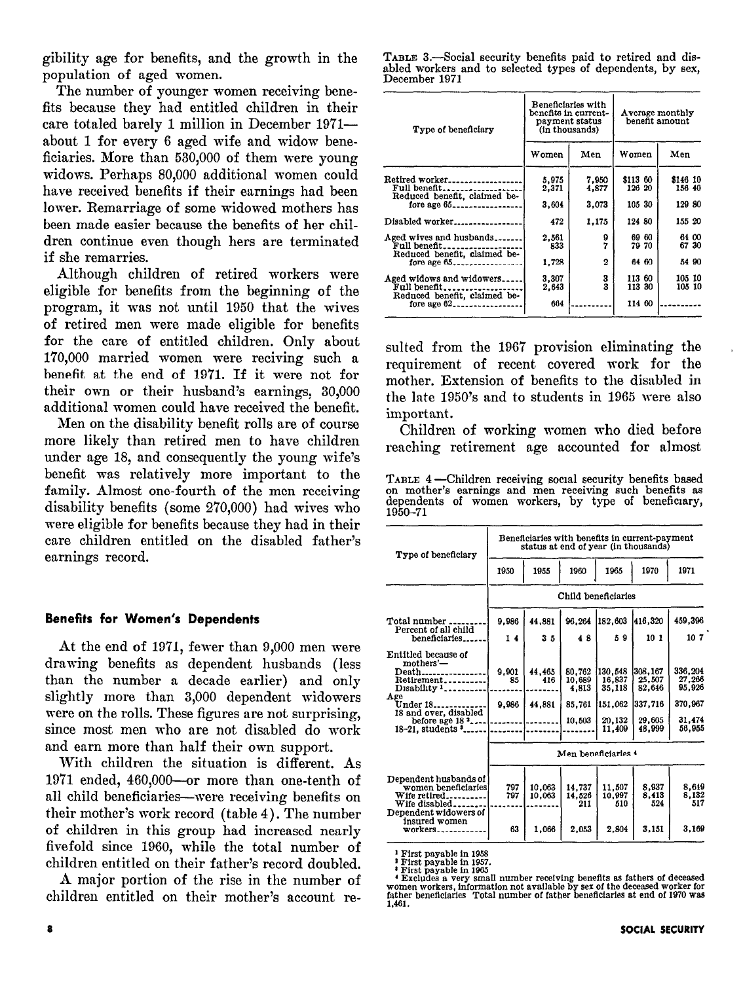gibility age for benefits, and the growth in the population of aged women.

The number of younger women receiving benefits because they had entitled children in their care totaled barely 1 million in December 1971 about 1 for every 6 aged wife and widow beneficiaries. More than 530,000 of them were young widows. Perhaps 80,000 additional women could have received benefits if their earnings had been lower. Remarriage of some widowed mothers has been made easier because the benefits of her children continue even though hers are terminated if she remarries.

Although children of retired workers were eligible for benefits from the beginning of the program, it was not until 1950 that the wives of retired men were made eligible for benefits for the care of entitled children. Only about 1'70,000 married women were reciving such a benefit at the end of 1971. If it were not for their own or their husband's earnings, 30,000 additional women could have received the benefit.

Men on the disability benefit rolls are of course more likely than retired men to have children under age 18, and consequently the young wife's benefit was relatively more important to the family. Almost one-fourth of the men receiving disability benefits (some 270,000) had wives who were eligible for benefits because they had in their care children entitled on the disabled father's earnings record.

#### Benefits for Women's Dependents

At the end of 1971, fewer than 9,000 men were drawing benefits as dependent husbands (less than the number a decade earlier) and only slightly more than 3,000 dependent widowers were on the rolls. These figures are not surprising, since most men who are not disabled do work and earn more than half their own support.

With children the situation is different. As 19'71 ended, 460,000-or more than one-tenth of all child beneficiaries—were receiving benefits on their mother's work record (table 4). The number of children in this group had increased nearly fivefold since 1960, while the total number of children entitled on their father's record doubled.

A major portion of the rise in the number of children entitled on their mother's account re-

|               |  | TABLE 3.—Social security benefits paid to retired and dis- |  |  |  |
|---------------|--|------------------------------------------------------------|--|--|--|
|               |  | abled workers and to selected types of dependents, by sex, |  |  |  |
| December 1971 |  |                                                            |  |  |  |

| Type of beneficiary                                                                                           |                | Beneficiaries with<br>benefits in current-<br>payment status<br>(in thousands) |                    | Average monthly<br>benefit amount |
|---------------------------------------------------------------------------------------------------------------|----------------|--------------------------------------------------------------------------------|--------------------|-----------------------------------|
|                                                                                                               | Women          | Men                                                                            | Women              | Men                               |
| Retired worker<br>Full benefit                                                                                | 5.975<br>2,371 | 7.950<br>4,877                                                                 | \$113 60<br>126 20 | \$146 10<br>156 40                |
| fore age $65$ -----------------                                                                               | 3,604          | 3.073                                                                          | 105 30             | 129 80                            |
| Disabled worker                                                                                               | 472            | 1.175                                                                          | 124 80             | 155 20                            |
| Aged wives and husbands<br>Full benefit_____.                                                                 | 2.561<br>833   | 9<br>7                                                                         | 69 60<br>79 70     | 64 00<br>67 30                    |
|                                                                                                               | 1.728          | 2                                                                              | 64 60              | 54 90                             |
| Aged widows and widowers<br>Full benefit_____________                                                         | 3,307<br>2.643 | 3<br>3                                                                         | 113 60<br>113 30   | 105 10<br>105 10                  |
| Reduced benefit, claimed be-<br>Reduced benefit, claimed be-<br>Reduced benefit, claimed be-<br>fore age $62$ | 664            |                                                                                | 114 60             |                                   |

sulted from the 1967 provision eliminating the requirement of recent covered work for the mother. Extension of benefits to the disabled in the late 1950's and to students in 1965 were also important.

Children of working women who died before reaching retirement age accounted for almost

TABLE 4-Children receiving social security benefits based on mother's earnings and men receiving such benefits as dependents of women workers, by type of beneficiary,<br>1950–71

| Type of beneficiary                                                           | Beneficiaries with benefits in current-payment<br>status at end of year (in thousands) |                  |                         |                         |                       |                       |  |  |
|-------------------------------------------------------------------------------|----------------------------------------------------------------------------------------|------------------|-------------------------|-------------------------|-----------------------|-----------------------|--|--|
|                                                                               | 1950                                                                                   | 1955             | 1960                    | 1965                    | 1970                  | 1971                  |  |  |
|                                                                               | Child beneficiaries                                                                    |                  |                         |                         |                       |                       |  |  |
| Total number.<br>Percent of all child                                         | 9.986                                                                                  | 44.881           | 96.264                  | 182,603                 | 416,320               | 459.396               |  |  |
| beneficiaries.                                                                | 14                                                                                     | 35               | 48                      | 59                      | 10 <sub>1</sub>       | 10 7                  |  |  |
| Entitled because of<br>mothers'-                                              |                                                                                        |                  |                         |                         |                       |                       |  |  |
| $D$ eath                                                                      | 9.901                                                                                  | 44.465           | 80.762                  | 130.548                 | 308,167               | 336,204               |  |  |
| Retirement<br>Disability <sup>1</sup>                                         | 85                                                                                     | 416              | 10,689<br>4.813         | 16,837<br>35,118        | 25,507<br>82.646      | 27,266<br>95.926      |  |  |
| Age<br>Under 18<br>18 and over, disabled                                      | 9,986                                                                                  | 44.881           | 85.761                  | 151,062                 | 337,716               | 370.967               |  |  |
| before age $18.3$<br>18-21, students \$                                       |                                                                                        |                  | 10.503                  | 20,132<br>11.409        | 29,605<br>48.999      | 31.474<br>56.955      |  |  |
|                                                                               | Men beneficiaries 4                                                                    |                  |                         |                         |                       |                       |  |  |
| Dependent husbands of<br>women beneficiaries<br>Wife retired<br>Wife disabled | 797<br>797                                                                             | 10.063<br>10,063 | 14.737<br>14.526<br>211 | 11.507<br>10.997<br>510 | 8.937<br>8.413<br>524 | 8,649<br>8.132<br>517 |  |  |
| Dependent widowers of<br>insured women                                        | 63                                                                                     | 1.066            | 2.053                   | 2.804                   | 3.151                 | 3.169                 |  |  |

First payable in 1958<br>  $\frac{1}{2}$  First payable in 1957.<br>
First payable in 1967.<br>
First payable in 1965<br>  $\frac{1}{2}$  First payable in 1965<br>  $\frac{1}{2}$  First payable in 1965<br>  $\frac{1}{2}$  First payable in 1965<br>  $\frac{1}{2}$  First pa 1.461.

,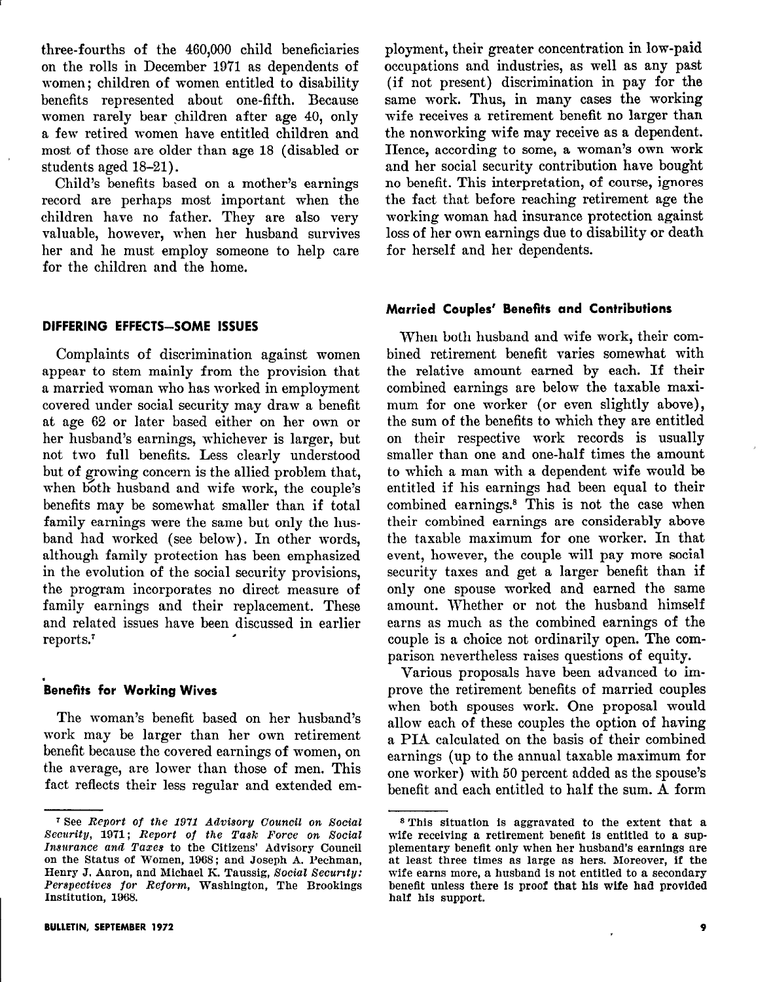three-fourths of the 460,000 child beneficiaries on the rolls in December 1971 as dependents of women; children of women entitled to disability benefits represented about one-fifth. Because women rarely bear children after age 40, only a few retired women have entitled children and most of those are older than age 18 (disabled or students aged 18-21).

Child's benefits based on a mother's earnings record are perhaps most important when the children have no father. They are also very valuable, however, when her husband survives her and he must employ someone to help care for the children and the home.

#### DIFFERING EFFECTS-SOME ISSUES

Complaints of discrimination against women appear to stem mainly from the provision that a married woman who has worked in employment covered under social security may draw a benefit at age 62 or later based either on her own or her husband's earnings, whichever is larger, but not two full benefits. Less clearly understood but of growing concern is the allied problem that, when both husband and wife work, the couple's benefits may be somewhat smaller than if total family earnings were the same but only the husband had worked (see below). In other words, although family protection has been emphasized in the evolution of the social security provisions, the program incorporates no direct measure of family earnings and their replacement. These and related issues have been discussed in earlier<br>reports.<sup>7</sup>

#### . Benefits for Working Wive

The woman's benefit based on her husband's work may be larger than her own retirement benefit because the covered earnings of women, on the average, are lower than those of men. This fact reflects their less regular and extended employment, their greater concentration in low-paid occupations and industries, as well as any past (if not present) discrimination in pay for the same work. Thus, in many cases the working wife receives a retirement benefit no larger than the nonworking wife may receive as a dependent. Hence, according to some, a woman's own work and her social security contribution have bought no benefit. This interpretation, of course, ignores the fact that before reaching retirement age the working woman had insurance protection against loss of her own earnings due to disability or death for herself and her dependents.

## Married Couples' Benefits and Contributions

When both husband and wife work, their combined retirement benefit varies somewhat with the relative amount earned by each. If their combined earnings are below the taxable maximum for one worker (or even slightly above), the sum of the benefits to which they are entitled on their respective work records is usually smaller than one and one-half times the amount to which a man with a dependent wife would be entitled if his earnings had been equal to their combined earnings.<sup>8</sup> This is not the case when their combined earnings are considerably above the taxable maximum for one worker. In that event, however, the couple will pay more social security taxes and get a larger benefit than if only one spouse worked and earned the same amount. Whether or not the husband himself earns as much as the combined earnings of the couple is a choice not ordinarily open. The comparison nevertheless raises questions of equity.

Various proposals have been advanced to improve the retirement benefits of married couples when both spouses work. One proposal would allow each of these couples the option of having a PIA calculated on the basis of their combined earnings (up to the annual taxable maximum for one worker) with 50 percent added as the spouse's benefit and each entitled to half the sum. A form

<sup>&</sup>lt;sup>7</sup>See Report of the 1971 Advisory Council on Social <sup>8</sup> This situation is aggravated to the extent that a sup-<br>Security, 1971; Report of the Task Force on Social wife receiving a retirement benefit is entitled to a sup-Security, 1971; Report of the Task Force on Social wife receiving a retirement benefit is entitled to a sup-<br>Insurance and Taxes to the Citizens' Advisory Council plementary benefit only when her husband's earnings are Insurance and Taxes to the Citizens' Advisory Council plementary benefit only when her husband's earnings are on the Status of Women, 1968; and Joseph A. Pechman, at least three times as large as hers. Moreover, if the Henry J. Aaron, and Michael K. Taussig, Social Security: wife earns more, a husband is not entitled to a secondary<br>Perspectives for Reform, Washington, The Brookings benefit unless there is proof that his wife had provided Perspectives for Reform, Washington, The Brookings benefit unless there is proof that his wife had provided Institution. 1968.

at least three times as large as hers. Moreover, if the half his support.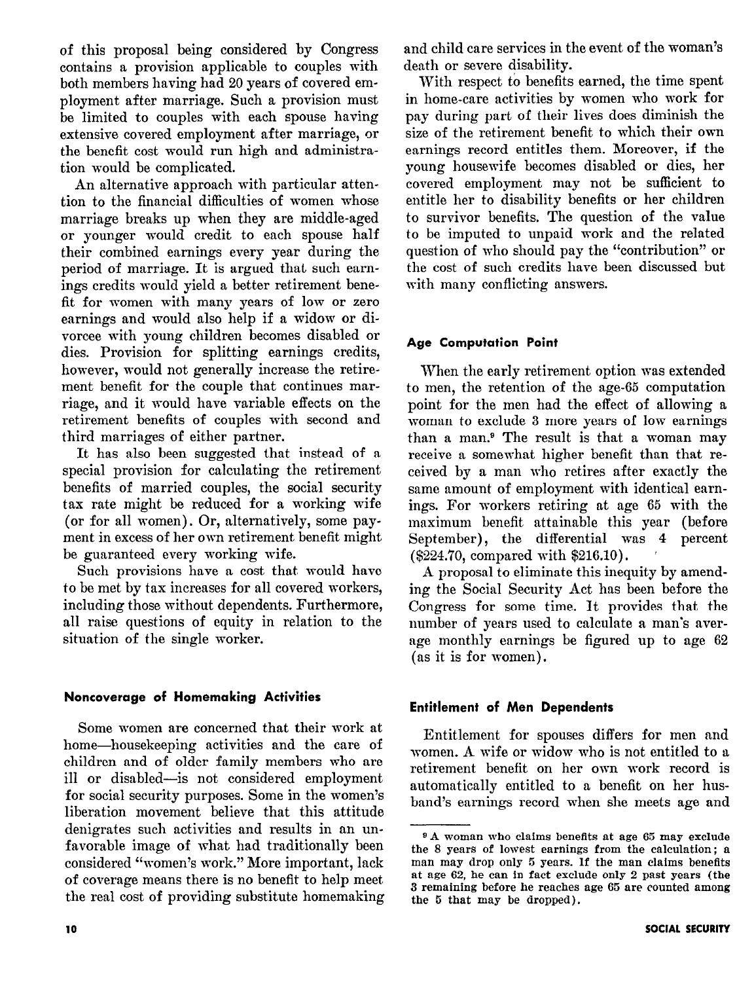of this proposal being considered by Congress contains a provision applicable to couples with both members having had 20 years of covered employment after marriage. Such a provision must be limited to couples with each spouse having extensive covered employment after marriage, or the benefit cost would run high and administration would be complicated.

An alternative approach with particular attention to the financial difficulties of women whose marriage breaks up when they are middle-aged or younger would credit to each spouse half their combined earnings every year during the period of marriage. It is argued that such earnings credits would yield a better retirement benefit for women with many years of low or zero earnings and would also help if a widow or divorcee with young children becomes disabled or dies. Provision for splitting earnings credits, however, would not generally increase the retirement benefit for the couple that continues marriage, and it would have variable effects on the retirement benefits of couples with second and third marriages of either partner.

It has also been suggested that instead of a special provision for calculating the retirement benefits of married couples, the social security tax rate might be reduced for a working wife (or for all women). Or, alternatively, some payment in excess of her own retirement benefit might be guaranteed every working wife.

Such provisions have a cost that would have to be met by tax increases for all covered workers, including those without dependents. Furthermore, all raise questions of equity in relation to the situation of the single worker.

# Noncoverage of Homemaking Activities

Some women are concerned that their work at home-housekeeping activities and the care of children and of older family members who are ill or disabled-is not considered employment for social security purposes. Some in the women's liberation movement believe that this attitude denigrates such activities and results in an unfavorable image of what had traditionally been considered "women's work." More important, lack of coverage means there is no benefit to help meet. the real cost of providing substitute homemaking

With respect to benefits earned, the time spent in home-care activities by women who work for pay during part of their lives does diminish the size of the retirement benefit to which their own earnings record entitles them. Moreover, if the young housewife becomes disabled or dies, her covered employment may not be sufficient to entitle her to disability benefits or her children to survivor benefits. The question of the value to be imputed to unpaid work and the related question of who should pay the "contribution" or the cost of such credits have been discussed but with many conflicting answers.

# Age Computation Point

When the early retirement option was extended to men, the retention of the age-65 computation point for the men had the effect of allowing a woman to exclude 3 more years of low earnings than a man.<sup>9</sup> The result is that a woman may receive a somewhat higher benefit than that received by a man who retires after exactly the same amount of employment with identical earnings. For workers retiring at age 65 with the maximum benefit attainable this year (before September), the differential was 4 percent (\$224.70, compared with \$216.10). '

A proposal to eliminate this inequity by amending the Social Security Act has been before the Congress for some time. It provides that the number of years used to calculate a man's average monthly earnings be figured up to age 62 (as it is for women).

# Entitlement of Men Dependents

Entitlement for spouses differs for men and women. A wife or widow who is not entitled to a retirement benefit on her own work record is automatically entitled to a benefit on her husband's earnings record when she meets age and

<sup>9</sup> A woman who claims benefits at age 65 may exclude the 8 years of lowest earnings from the calculation; a man may drop only 5 years. If the man claims benefits at age 62, he can in fact exclude only 2 past years (the 3 remaining before he reaches age 65 are counted among the 5 that may be dropped).